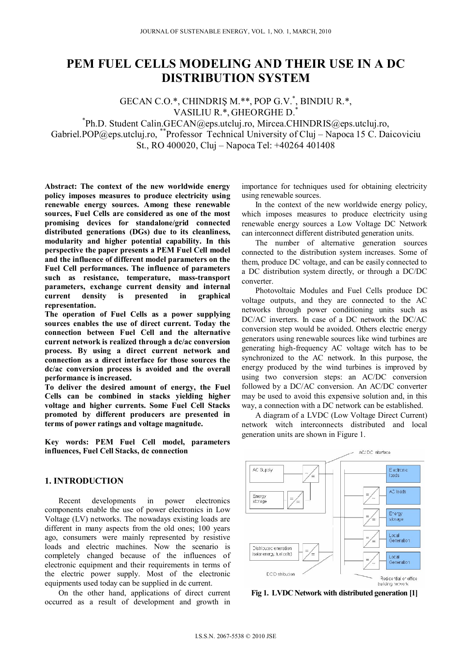# **PEM FUEL CELLS MODELING AND THEIR USE IN A DC DISTRIBUTION SYSTEM**

GECAN C.O.\*, CHINDRIŞ M.\*\*, POP G.V.\* , BINDIU R.\*, VASILIU R.\*, GHEORGHE D.\*

\* Ph.D. Student Calin.GECAN@eps.utcluj.ro, Mircea.CHINDRIS@eps.utcluj.ro, Gabriel.POP@eps.utcluj.ro, \*\*Professor Technical University of Cluj – Napoca 15 C. Daicoviciu

St., RO 400020, Cluj – Napoca Tel: +40264 401408

**Abstract: The context of the new worldwide energy policy imposes measures to produce electricity using renewable energy sources. Among these renewable sources, Fuel Cells are considered as one of the most promising devices for standalone/grid connected distributed generations (DGs) due to its cleanliness, modularity and higher potential capability. In this perspective the paper presents a PEM Fuel Cell model and the influence of different model parameters on the Fuel Cell performances. The influence of parameters such as resistance, temperature, mass-transport parameters, exchange current density and internal current density is presented in graphical representation.** 

**The operation of Fuel Cells as a power supplying sources enables the use of direct current. Today the connection between Fuel Cell and the alternative current network is realized through a dc/ac conversion process. By using a direct current network and connection as a direct interface for those sources the dc/ac conversion process is avoided and the overall performance is increased.** 

**To deliver the desired amount of energy, the Fuel Cells can be combined in stacks yielding higher voltage and higher currents. Some Fuel Cell Stacks promoted by different producers are presented in terms of power ratings and voltage magnitude.** 

**Key words: PEM Fuel Cell model, parameters influences, Fuel Cell Stacks, dc connection** 

# **1. INTRODUCTION**

Recent developments in power electronics components enable the use of power electronics in Low Voltage (LV) networks. The nowadays existing loads are different in many aspects from the old ones; 100 years ago, consumers were mainly represented by resistive loads and electric machines. Now the scenario is completely changed because of the influences of electronic equipment and their requirements in terms of the electric power supply. Most of the electronic equipments used today can be supplied in dc current.

On the other hand, applications of direct current occurred as a result of development and growth in

importance for techniques used for obtaining electricity using renewable sources.

In the context of the new worldwide energy policy, which imposes measures to produce electricity using renewable energy sources a Low Voltage DC Network can interconnect different distributed generation units.

The number of alternative generation sources connected to the distribution system increases. Some of them, produce DC voltage, and can be easily connected to a DC distribution system directly, or through a DC/DC converter.

Photovoltaic Modules and Fuel Cells produce DC voltage outputs, and they are connected to the AC networks through power conditioning units such as DC/AC inverters. In case of a DC network the DC/AC conversion step would be avoided. Others electric energy generators using renewable sources like wind turbines are generating high-frequency AC voltage witch has to be synchronized to the AC network. In this purpose, the energy produced by the wind turbines is improved by using two conversion steps: an AC/DC conversion followed by a DC/AC conversion. An AC/DC converter may be used to avoid this expensive solution and, in this way, a connection with a DC network can be established.

A diagram of a LVDC (Low Voltage Direct Current) network witch interconnects distributed and local generation units are shown in Figure 1.



**Fig 1. LVDC Network with distributed generation [1]**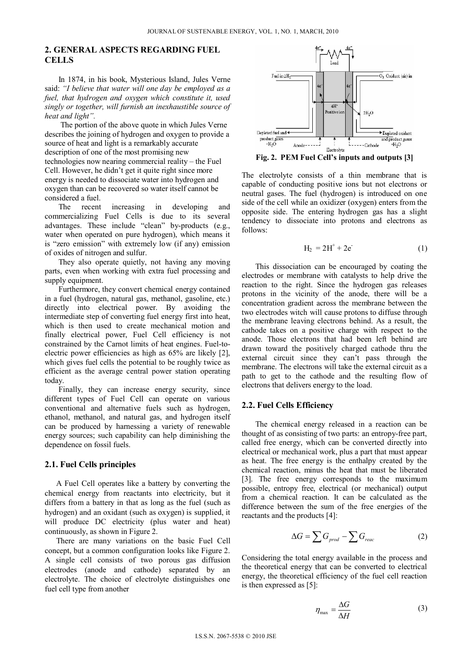# **2. GENERAL ASPECTS REGARDING FUEL CELLS**

In 1874, in his book, Mysterious Island, Jules Verne said: *"I believe that water will one day be employed as a fuel, that hydrogen and oxygen which constitute it, used singly or together, will furnish an inexhaustible source of heat and light".* 

 The portion of the above quote in which Jules Verne describes the joining of hydrogen and oxygen to provide a source of heat and light is a remarkably accurate description of one of the most promising new technologies now nearing commercial reality – the Fuel Cell. However, he didn't get it quite right since more energy is needed to dissociate water into hydrogen and oxygen than can be recovered so water itself cannot be considered a fuel.

The recent increasing in developing and commercializing Fuel Cells is due to its several advantages. These include "clean" by-products (e.g., water when operated on pure hydrogen), which means it is "zero emission" with extremely low (if any) emission of oxides of nitrogen and sulfur.

They also operate quietly, not having any moving parts, even when working with extra fuel processing and supply equipment.

Furthermore, they convert chemical energy contained in a fuel (hydrogen, natural gas, methanol, gasoline, etc.) directly into electrical power. By avoiding the intermediate step of converting fuel energy first into heat, which is then used to create mechanical motion and finally electrical power, Fuel Cell efficiency is not constrained by the Carnot limits of heat engines. Fuel-toelectric power efficiencies as high as 65% are likely [2], which gives fuel cells the potential to be roughly twice as efficient as the average central power station operating today.

Finally, they can increase energy security, since different types of Fuel Cell can operate on various conventional and alternative fuels such as hydrogen, ethanol, methanol, and natural gas, and hydrogen itself can be produced by harnessing a variety of renewable energy sources; such capability can help diminishing the dependence on fossil fuels.

## **2.1. Fuel Cells principles**

A Fuel Cell operates like a battery by converting the chemical energy from reactants into electricity, but it differs from a battery in that as long as the fuel (such as hydrogen) and an oxidant (such as oxygen) is supplied, it will produce DC electricity (plus water and heat) continuously, as shown in Figure 2.

There are many variations on the basic Fuel Cell concept, but a common configuration looks like Figure 2. A single cell consists of two porous gas diffusion electrodes (anode and cathode) separated by an electrolyte. The choice of electrolyte distinguishes one fuel cell type from another



**Fig. 2. PEM Fuel Cell's inputs and outputs [3]**

The electrolyte consists of a thin membrane that is capable of conducting positive ions but not electrons or neutral gases. The fuel (hydrogen) is introduced on one side of the cell while an oxidizer (oxygen) enters from the opposite side. The entering hydrogen gas has a slight tendency to dissociate into protons and electrons as follows:

$$
H_2 = 2H^+ + 2e^-
$$
 (1)

This dissociation can be encouraged by coating the electrodes or membrane with catalysts to help drive the reaction to the right. Since the hydrogen gas releases protons in the vicinity of the anode, there will be a concentration gradient across the membrane between the two electrodes witch will cause protons to diffuse through the membrane leaving electrons behind. As a result, the cathode takes on a positive charge with respect to the anode. Those electrons that had been left behind are drawn toward the positively charged cathode thru the external circuit since they can't pass through the membrane. The electrons will take the external circuit as a path to get to the cathode and the resulting flow of electrons that delivers energy to the load.

### **2.2. Fuel Cells Efficiency**

The chemical energy released in a reaction can be thought of as consisting of two parts: an entropy-free part, called free energy, which can be converted directly into electrical or mechanical work, plus a part that must appear as heat. The free energy is the enthalpy created by the chemical reaction, minus the heat that must be liberated [3]. The free energy corresponds to the maximum possible, entropy free, electrical (or mechanical) output from a chemical reaction. It can be calculated as the difference between the sum of the free energies of the reactants and the products [4]:

$$
\Delta G = \sum G_{prod} - \sum G_{reac} \tag{2}
$$

Considering the total energy available in the process and the theoretical energy that can be converted to electrical energy, the theoretical efficiency of the fuel cell reaction is then expressed as [5]:

$$
\eta_{\text{max}} = \frac{\Delta G}{\Delta H} \tag{3}
$$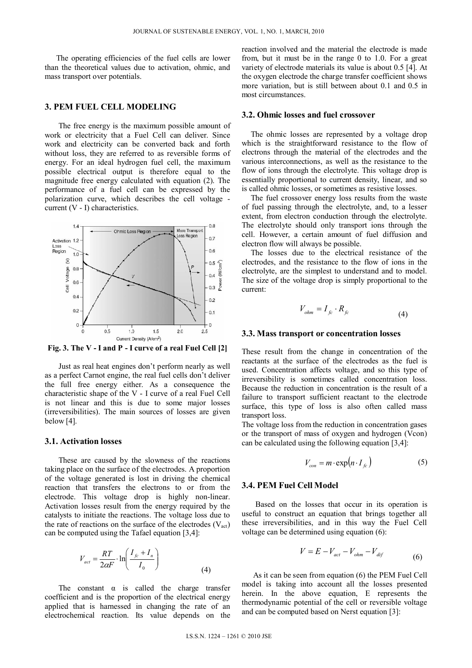The operating efficiencies of the fuel cells are lower than the theoretical values due to activation, ohmic, and mass transport over potentials.

#### **3. PEM FUEL CELL MODELING**

The free energy is the maximum possible amount of work or electricity that a Fuel Cell can deliver. Since work and electricity can be converted back and forth without loss, they are referred to as reversible forms of energy. For an ideal hydrogen fuel cell, the maximum possible electrical output is therefore equal to the magnitude free energy calculated with equation (2). The performance of a fuel cell can be expressed by the polarization curve, which describes the cell voltage current (V - I) characteristics.



**Fig. 3. The V - I and P - I curve of a real Fuel Cell [2]** 

Just as real heat engines don't perform nearly as well as a perfect Carnot engine, the real fuel cells don't deliver the full free energy either. As a consequence the characteristic shape of the V - I curve of a real Fuel Cell is not linear and this is due to some major losses (irreversibilities). The main sources of losses are given below [4].

### **3.1. Activation losses**

These are caused by the slowness of the reactions taking place on the surface of the electrodes. A proportion of the voltage generated is lost in driving the chemical reaction that transfers the electrons to or from the electrode. This voltage drop is highly non-linear. Activation losses result from the energy required by the catalysts to initiate the reactions. The voltage loss due to the rate of reactions on the surface of the electrodes  $(V_{act})$ can be computed using the Tafael equation [3,4]:

$$
V_{act} = \frac{RT}{2\alpha F} \cdot \ln\left(\frac{I_{fc} + I_n}{I_0}\right)
$$
(4)

The constant  $\alpha$  is called the charge transfer coefficient and is the proportion of the electrical energy applied that is harnessed in changing the rate of an electrochemical reaction. Its value depends on the reaction involved and the material the electrode is made from, but it must be in the range 0 to 1.0. For a great variety of electrode materials its value is about 0.5 [4]. At the oxygen electrode the charge transfer coefficient shows more variation, but is still between about 0.1 and 0.5 in most circumstances.

### **3.2. Ohmic losses and fuel crossover**

The ohmic losses are represented by a voltage drop which is the straightforward resistance to the flow of electrons through the material of the electrodes and the various interconnections, as well as the resistance to the flow of ions through the electrolyte. This voltage drop is essentially proportional to current density, linear, and so is called ohmic losses, or sometimes as resistive losses.

The fuel crossover energy loss results from the waste of fuel passing through the electrolyte, and, to a lesser extent, from electron conduction through the electrolyte. The electrolyte should only transport ions through the cell. However, a certain amount of fuel diffusion and electron flow will always be possible.

The losses due to the electrical resistance of the electrodes, and the resistance to the flow of ions in the electrolyte, are the simplest to understand and to model. The size of the voltage drop is simply proportional to the current:

$$
V_{ohm} = I_{fc} \cdot R_{fc}
$$
\n(4)

#### **3.3. Mass transport or concentration losses**

These result from the change in concentration of the reactants at the surface of the electrodes as the fuel is used. Concentration affects voltage, and so this type of irreversibility is sometimes called concentration loss. Because the reduction in concentration is the result of a failure to transport sufficient reactant to the electrode surface, this type of loss is also often called mass transport loss.

The voltage loss from the reduction in concentration gases or the transport of mass of oxygen and hydrogen (Vcon) can be calculated using the following equation [3,4]:

$$
V_{con} = m \cdot \exp(n \cdot I_{fc}) \tag{5}
$$

## **3.4. PEM Fuel Cell Model**

Based on the losses that occur in its operation is useful to construct an equation that brings together all these irreversibilities, and in this way the Fuel Cell voltage can be determined using equation (6):

$$
V = E - V_{act} - V_{ohm} - V_{dif} \tag{6}
$$

As it can be seen from equation (6) the PEM Fuel Cell model is taking into account all the losses presented herein. In the above equation, E represents the thermodynamic potential of the cell or reversible voltage and can be computed based on Nerst equation [3]: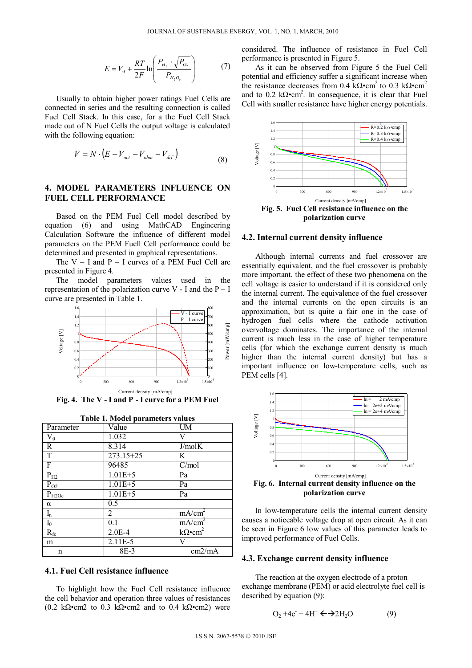$$
E = V_0 + \frac{RT}{2F} \ln \left( \frac{P_{H_2} \cdot \sqrt{P_{O_2}}}{P_{H_2 O_c}} \right) \tag{7}
$$

Usually to obtain higher power ratings Fuel Cells are connected in series and the resulting connection is called Fuel Cell Stack. In this case, for a the Fuel Cell Stack made out of N Fuel Cells the output voltage is calculated with the following equation:

$$
V = N \cdot \left( E - V_{act} - V_{ohm} - V_{dif} \right) \tag{8}
$$

# **4. MODEL PARAMETERS INFLUENCE ON FUEL CELL PERFORMANCE**

Based on the PEM Fuel Cell model described by equation (6) and using MathCAD Engineering Calculation Software the influence of different model parameters on the PEM Fuell Cell performance could be determined and presented in graphical representations.

The  $V - I$  and  $P - I$  curves of a PEM Fuel Cell are presented in Figure 4.

The model parameters values used in the representation of the polarization curve V - I and the  $P - I$ curve are presented in Table 1.



**Fig. 4. The V - I and P - I curve for a PEM Fuel**

| Table 1. Model parameters values |               |                            |
|----------------------------------|---------------|----------------------------|
| Parameter                        | Value         | UM                         |
| $\rm V_0$                        | 1.032         | V                          |
| R                                | 8.314         | J/molK                     |
| T                                | $273.15 + 25$ | K                          |
| F                                | 96485         | C/mol                      |
| $P_{H2}$                         | $1.01E + 5$   | Pa                         |
| $P_{O2}$                         | $1.01E + 5$   | Pa                         |
| $P_{H2Oc}$                       | $1.01E + 5$   | Pa                         |
| α                                | 0.5           |                            |
| $I_n$                            | 2             | mA/cm <sup>2</sup>         |
| $I_0$                            | 0.1           | mA/cm <sup>2</sup>         |
| $R_{\rm fc}$                     | $2.0E-4$      | $k\Omega$ •cm <sup>2</sup> |
| m                                | 2.11E-5       | V                          |
| n                                | 8E-3          | cm2/mA                     |

#### **4.1. Fuel Cell resistance influence**

To highlight how the Fuel Cell resistance influence the cell behavior and operation three values of resistances (0.2 k $\Omega$ •cm2 to 0.3 k $\Omega$ •cm2 and to 0.4 k $\Omega$ •cm2) were

considered. The influence of resistance in Fuel Cell performance is presented in Figure 5.

As it can be observed from Figure 5 the Fuel Cell potential and efficiency suffer a significant increase when the resistance decreases from 0.4 kΩ•cm<sup>2</sup> to 0.3 kΩ•cm<sup>2</sup> and to 0.2  $k\Omega$ •cm<sup>2</sup>. In consequence, it is clear that Fuel Cell with smaller resistance have higher energy potentials.



### **4.2. Internal current density influence**

Although internal currents and fuel crossover are essentially equivalent, and the fuel crossover is probably more important, the effect of these two phenomena on the cell voltage is easier to understand if it is considered only the internal current. The equivalence of the fuel crossover and the internal currents on the open circuits is an approximation, but is quite a fair one in the case of hydrogen fuel cells where the cathode activation overvoltage dominates. The importance of the internal current is much less in the case of higher temperature cells (for which the exchange current density is much higher than the internal current density) but has a important influence on low-temperature cells, such as PEM cells [4].



In low-temperature cells the internal current density causes a noticeable voltage drop at open circuit. As it can be seen in Figure 6 low values of this parameter leads to improved performance of Fuel Cells.

#### **4.3. Exchange current density influence**

The reaction at the oxygen electrode of a proton exchange membrane (PEM) or acid electrolyte fuel cell is described by equation (9):

$$
O_2 + 4e^+ + 4H^+ \leftarrow \rightarrow 2H_2O \tag{9}
$$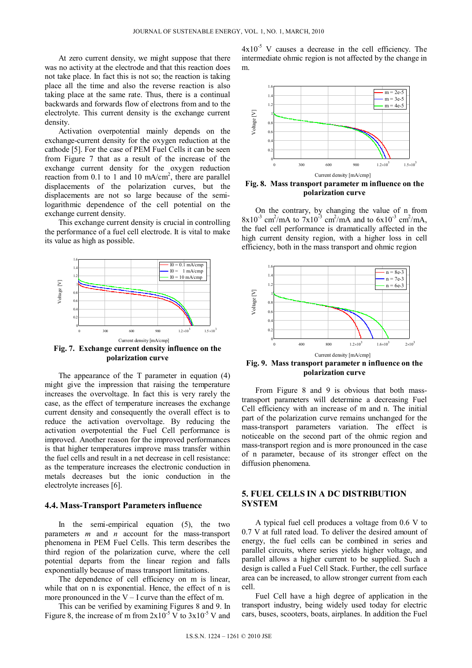At zero current density, we might suppose that there was no activity at the electrode and that this reaction does not take place. In fact this is not so; the reaction is taking place all the time and also the reverse reaction is also taking place at the same rate. Thus, there is a continual backwards and forwards flow of electrons from and to the electrolyte. This current density is the exchange current density.

Activation overpotential mainly depends on the exchange-current density for the oxygen reduction at the cathode [5]. For the case of PEM Fuel Cells it can be seen from Figure 7 that as a result of the increase of the exchange current density for the oxygen reduction reaction from 0.1 to 1 and 10 mA/cm<sup>2</sup>, there are parallel displacements of the polarization curves, but the displacements are not so large because of the semilogarithmic dependence of the cell potential on the exchange current density.

This exchange current density is crucial in controlling the performance of a fuel cell electrode. It is vital to make its value as high as possible.



**Fig. 7. Exchange current density influence on the polarization curve** 

The appearance of the T parameter in equation  $(4)$ might give the impression that raising the temperature increases the overvoltage. In fact this is very rarely the case, as the effect of temperature increases the exchange current density and consequently the overall effect is to reduce the activation overvoltage. By reducing the activation overpotential the Fuel Cell performance is improved. Another reason for the improved performances is that higher temperatures improve mass transfer within the fuel cells and result in a net decrease in cell resistance: as the temperature increases the electronic conduction in metals decreases but the ionic conduction in the electrolyte increases [6].

#### **4.4. Mass-Transport Parameters influence**

In the semi-empirical equation (5), the two parameters *m* and *n* account for the mass-transport phenomena in PEM Fuel Cells. This term describes the third region of the polarization curve, where the cell potential departs from the linear region and falls exponentially because of mass transport limitations.

The dependence of cell efficiency on m is linear, while that on n is exponential. Hence, the effect of n is more pronounced in the  $V - I$  curve than the effect of m.

This can be verified by examining Figures 8 and 9. In Figure 8, the increase of m from  $2x10^{-5}$  V to  $3x10^{-5}$  V and

 $4x10^{-5}$  V causes a decrease in the cell efficiency. The intermediate ohmic region is not affected by the change in m.



**Fig. 8. Mass transport parameter m influence on the polarization curve** 

On the contrary, by changing the value of n from  $8x10^{-3}$  cm<sup>2</sup>/mA to  $7x10^{-3}$  cm<sup>2</sup>/mA and to  $6x10^{-3}$  cm<sup>2</sup>/mA, the fuel cell performance is dramatically affected in the high current density region, with a higher loss in cell efficiency, both in the mass transport and ohmic region



**Fig. 9. Mass transport parameter n influence on the polarization curve** 

From Figure 8 and 9 is obvious that both masstransport parameters will determine a decreasing Fuel Cell efficiency with an increase of m and n. The initial part of the polarization curve remains unchanged for the mass-transport parameters variation. The effect is noticeable on the second part of the ohmic region and mass-transport region and is more pronounced in the case of n parameter, because of its stronger effect on the diffusion phenomena.

# **5. FUEL CELLS IN A DC DISTRIBUTION SYSTEM**

A typical fuel cell produces a voltage from 0.6 V to 0.7 V at full rated load. To deliver the desired amount of energy, the fuel cells can be combined in series and parallel circuits, where series yields higher voltage, and parallel allows a higher current to be supplied. Such a design is called a Fuel Cell Stack. Further, the cell surface area can be increased, to allow stronger current from each cell.

Fuel Cell have a high degree of application in the transport industry, being widely used today for electric cars, buses, scooters, boats, airplanes. In addition the Fuel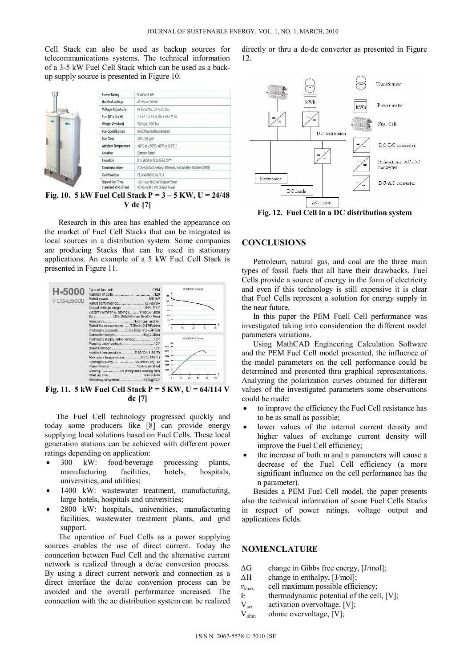Cell Stack can also be used as backup sources for telecommunications systems. The technical information of a 3-5 kW Fuel Cell Stack which can be used as a backup supply source is presented in Figure 10.

|      | <b>Power Rating</b>                                    | 5 kW or 3 kW                                                  |
|------|--------------------------------------------------------|---------------------------------------------------------------|
|      | <b>Nominal Voltage</b>                                 | 48 Vdc or 24 Vdc                                              |
| Stay | Voltage Adjustable                                     | 48 to 52 Vdc, 24 to 26 Vdc                                    |
|      | Size (W x D x H)                                       | $1.5 \times 1.1 \times 1.9$ m (60 x 43 x 77 in)               |
|      | <b>Weight (Product)</b>                                | 726 kg (1,600 lbs)                                            |
|      | <b>Fuel Specification</b>                              | HydroPlus (methanol/water)                                    |
|      | <b>Fuel Tank</b>                                       | 210 L (55 gal)                                                |
|      | <b>Ambient Temperature</b>                             | -40°C to +50°C (-40°F to 122°F)*                              |
|      | Location                                               | Outdoor Rated                                                 |
|      | Elevation                                              | 0 to 2000 m (0 to 6562 ft)**                                  |
|      | Communications                                         | 4 Dry Contacts (relays), Ethernet, and Wireless Modem (GPRS)  |
|      | <b>Certifications</b>                                  | CF and ANSI/CSA FC-1                                          |
|      | <b>Typical Run Time</b><br><b>Standard 55 Gal Tank</b> | 120 Hours @ 2 kW Output Power<br>48 Hours @ 5 kW Output Power |

**Fig. 10. 5 kW Fuel Cell Stack P = 3 – 5 KW, U = 24/48 V dc [7]** 

Research in this area has enabled the appearance on the market of Fuel Cell Stacks that can be integrated as local sources in a distribution system. Some companies are producing Stacks that can be used in stationary applications. An example of a 5 kW Fuel Cell Stack is presented in Figure 11.



**Fig. 11. 5 kW Fuel Cell Stack P = 5 KW, U = 64/114 V dc [7]** 

The Fuel Cell technology progressed quickly and today some producers like [8] can provide energy supplying local solutions based on Fuel Cells. These local generation stations can be achieved with different power ratings depending on application:

- 300 kW: food/beverage processing plants, manufacturing facilities, hotels, hospitals, universities, and utilities;
- 1400 kW: wastewater treatment, manufacturing, large hotels, hospitals and universities;
- 2800 kW: hospitals, universities, manufacturing facilities, wastewater treatment plants, and grid support.

The operation of Fuel Cells as a power supplying sources enables the use of direct current. Today the connection between Fuel Cell and the alternative current network is realized through a dc/ac conversion process. By using a direct current network and connection as a direct interface the dc/ac conversion process can be avoided and the overall performance increased. The connection with the ac distribution system can be realized





**Fig. 12. Fuel Cell in a DC distribution system** 

## **CONCLUSIONS**

Petroleum, natural gas, and coal are the three main types of fossil fuels that all have their drawbacks. Fuel Cells provide a source of energy in the form of electricity and even if this technology is still expensive it is clear that Fuel Cells represent a solution for energy supply in the near future.

In this paper the PEM Fuell Cell performance was investigated taking into consideration the different model parameters variations.

Using MathCAD Engineering Calculation Software and the PEM Fuel Cell model presented, the influence of the model parameters on the cell performance could be determined and presented thru graphical representations. Analyzing the polarization curves obtained for different values of the investigated parameters some observations could be made:

- to improve the efficiency the Fuel Cell resistance has to be as small as possible;
- lower values of the internal current density and higher values of exchange current density will improve the Fuel Cell efficiency;
- the increase of both m and n parameters will cause a decrease of the Fuel Cell efficiency (a more significant influence on the cell performance has the n parameter).

Besides a PEM Fuel Cell model, the paper presents also the technical information of some Fuel Cells Stacks in respect of power ratings, voltage output and applications fields.

# **NOMENCLATURE**

- ΔG change in Gibbs free energy, [J*/*mol];
- ΔH change in enthalpy, [J*/*mol];
- $\eta_{\text{max}}$  cell maximum possible efficiency;
- E thermodynamic potential of the cell, [V];
- $V_{\text{act}}$  activation overvoltage, [V];

 $V_{\text{ohm}}$  ohmic overvoltage, [V];